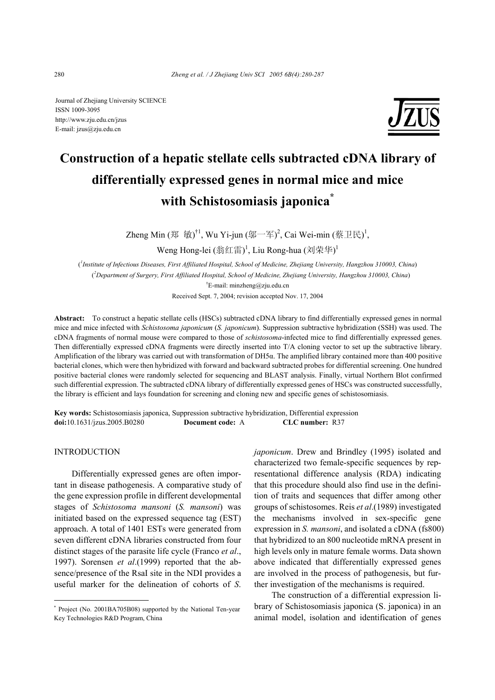Journal of Zhejiang University SCIENCE ISSN 1009-3095 http://www.zju.edu.cn/jzus E-mail: jzus@zju.edu.cn



# **Construction of a hepatic stellate cells subtracted cDNA library of differentially expressed genes in normal mice and mice with Schistosomiasis japonica\***

Zheng Min (郑 敏)<sup>†1</sup>, Wu Yi-jun (邬一军)<sup>2</sup>, Cai Wei-min (蔡卫民)<sup>1</sup>,

Weng Hong-lei (翁红雷)<sup>1</sup>, Liu Rong-hua (刘荣华)<sup>1</sup>

( *1 Institute of Infectious Diseases, First Affiliated Hospital, School of Medicine, Zhejiang University, Hangzhou 310003, China*) ( *2 Department of Surgery, First Affiliated Hospital, School of Medicine, Zhejiang University, Hangzhou 310003, China*) † E-mail: minzheng@zju.edu.cn

Received Sept. 7, 2004; revision accepted Nov. 17, 2004

**Abstract:** To construct a hepatic stellate cells (HSCs) subtracted cDNA library to find differentially expressed genes in normal mice and mice infected with *Schistosoma japonicum* (*S. japonicum*). Suppression subtractive hybridization (SSH) was used. The cDNA fragments of normal mouse were compared to those of *schistosoma*-infected mice to find differentially expressed genes. Then differentially expressed cDNA fragments were directly inserted into T/A cloning vector to set up the subtractive library. Amplification of the library was carried out with transformation of DH5α. The amplified library contained more than 400 positive bacterial clones, which were then hybridized with forward and backward subtracted probes for differential screening. One hundred positive bacterial clones were randomly selected for sequencing and BLAST analysis. Finally, virtual Northern Blot confirmed such differential expression. The subtracted cDNA library of differentially expressed genes of HSCs was constructed successfully, the library is efficient and lays foundation for screening and cloning new and specific genes of schistosomiasis.

**Key words:** Schistosomiasis japonica, Suppression subtractive hybridization, Differential expression **doi:**10.1631/jzus.2005.B0280 **Document code:** A **CLC number:** R37

## **INTRODUCTION**

Differentially expressed genes are often important in disease pathogenesis. A comparative study of the gene expression profile in different developmental stages of *Schistosoma mansoni* (*S. mansoni*) was initiated based on the expressed sequence tag (EST) approach. A total of 1401 ESTs were generated from seven different cDNA libraries constructed from four distinct stages of the parasite life cycle (Franco *et al*., 1997). Sorensen *et al*.(1999) reported that the absence/presence of the RsaI site in the NDI provides a useful marker for the delineation of cohorts of *S*.

*japonicum*. Drew and Brindley (1995) isolated and characterized two female-specific sequences by representational difference analysis (RDA) indicating that this procedure should also find use in the definition of traits and sequences that differ among other groups of schistosomes. Reis *et al*.(1989) investigated the mechanisms involved in sex-specific gene expression in *S. mansoni*, and isolated a cDNA (fs800) that hybridized to an 800 nucleotide mRNA present in high levels only in mature female worms. Data shown above indicated that differentially expressed genes are involved in the process of pathogenesis, but further investigation of the mechanisms is required.

The construction of a differential expression library of Schistosomiasis japonica (S. japonica) in an animal model, isolation and identification of genes

<sup>\*</sup> Project (No. 2001BA705B08) supported by the National Ten-year Key Technologies R&D Program, China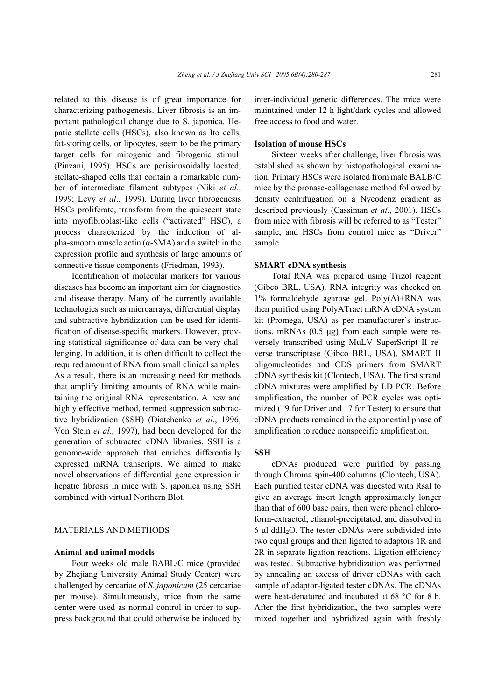related to this disease is of great importance for characterizing pathogenesis. Liver fibrosis is an important pathological change due to S. japonica. Hepatic stellate cells (HSCs), also known as Ito cells, fat-storing cells, or lipocytes, seem to be the primary target cells for mitogenic and fibrogenic stimuli (Pinzani, 1995). HSCs are perisinusoidally located, stellate-shaped cells that contain a remarkable number of intermediate filament subtypes (Niki *et al*., 1999; Levy *et al*., 1999). During liver fibrogenesis HSCs proliferate, transform from the quiescent state into myofibroblast-like cells ("activated" HSC), a process characterized by the induction of alpha-smooth muscle actin (α-SMA) and a switch in the expression profile and synthesis of large amounts of connective tissue components (Friedman, 1993).

Identification of molecular markers for various diseases has become an important aim for diagnostics and disease therapy. Many of the currently available technologies such as microarrays, differential display and subtractive hybridization can be used for identification of disease-specific markers. However, proving statistical significance of data can be very challenging. In addition, it is often difficult to collect the required amount of RNA from small clinical samples. As a result, there is an increasing need for methods that amplify limiting amounts of RNA while maintaining the original RNA representation. A new and highly effective method, termed suppression subtractive hybridization (SSH) (Diatchenko *et al*., 1996; Von Stein *et al*., 1997), had been developed for the generation of subtracted cDNA libraries. SSH is a genome-wide approach that enriches differentially expressed mRNA transcripts. We aimed to make novel observations of differential gene expression in hepatic fibrosis in mice with S. japonica using SSH combined with virtual Northern Blot.

## MATERIALS AND METHODS

#### **Animal and animal models**

Four weeks old male BABL/C mice (provided by Zhejiang University Animal Study Center) were challenged by cercariae of *S. japonicum* (25 cercariae per mouse). Simultaneously, mice from the same center were used as normal control in order to suppress background that could otherwise be induced by inter-individual genetic differences. The mice were maintained under 12 h light/dark cycles and allowed free access to food and water.

#### **Isolation of mouse HSCs**

Sixteen weeks after challenge, liver fibrosis was established as shown by histopathological examination. Primary HSCs were isolated from male BALB/C mice by the pronase-collagenase method followed by density centrifugation on a Nycodenz gradient as described previously (Cassiman *et al*., 2001). HSCs from mice with fibrosis will be referred to as "Tester" sample, and HSCs from control mice as "Driver" sample.

#### **SMART cDNA synthesis**

Total RNA was prepared using Trizol reagent (Gibco BRL, USA). RNA integrity was checked on 1% formaldehyde agarose gel. Poly(A)+RNA was then purified using PolyATract mRNA cDNA system kit (Promega, USA) as per manufacturer's instructions. mRNAs (0.5 µg) from each sample were reversely transcribed using MuLV SuperScript II reverse transcriptase (Gibco BRL, USA), SMART II oligonucleotides and CDS primers from SMART cDNA synthesis kit (Clontech, USA). The first strand cDNA mixtures were amplified by LD PCR. Before amplification, the number of PCR cycles was optimized (19 for Driver and 17 for Tester) to ensure that cDNA products remained in the exponential phase of amplification to reduce nonspecific amplification.

#### **SSH**

cDNAs produced were purified by passing through Chroma spin-400 columns (Clontech, USA). Each purified tester cDNA was digested with RsaI to give an average insert length approximately longer than that of 600 base pairs, then were phenol chloroform-extracted, ethanol-precipitated, and dissolved in  $6 \mu$ l ddH<sub>2</sub>O. The tester cDNAs were subdivided into two equal groups and then ligated to adaptors 1R and 2R in separate ligation reactions. Ligation efficiency was tested. Subtractive hybridization was performed by annealing an excess of driver cDNAs with each sample of adaptor-ligated tester cDNAs. The cDNAs were heat-denatured and incubated at 68 °C for 8 h. After the first hybridization, the two samples were mixed together and hybridized again with freshly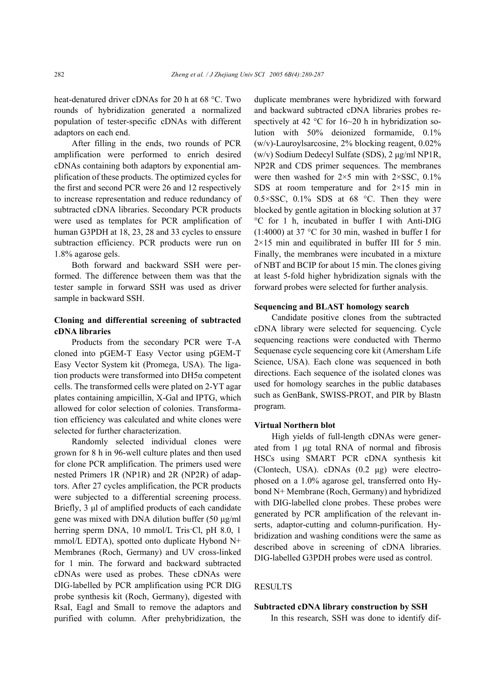heat-denatured driver cDNAs for 20 h at 68 °C. Two rounds of hybridization generated a normalized population of tester-specific cDNAs with different adaptors on each end.

After filling in the ends, two rounds of PCR amplification were performed to enrich desired cDNAs containing both adaptors by exponential amplification of these products. The optimized cycles for the first and second PCR were 26 and 12 respectively to increase representation and reduce redundancy of subtracted cDNA libraries. Secondary PCR products were used as templates for PCR amplification of human G3PDH at 18, 23, 28 and 33 cycles to enssure subtraction efficiency. PCR products were run on 1.8% agarose gels.

Both forward and backward SSH were performed. The difference between them was that the tester sample in forward SSH was used as driver sample in backward SSH.

## **Cloning and differential screening of subtracted cDNA libraries**

Products from the secondary PCR were T-A cloned into pGEM-T Easy Vector using pGEM-T Easy Vector System kit (Promega, USA). The ligation products were transformed into DH5α competent cells. The transformed cells were plated on 2-YT agar plates containing ampicillin, X-Gal and IPTG, which allowed for color selection of colonies. Transformation efficiency was calculated and white clones were selected for further characterization.

Randomly selected individual clones were grown for 8 h in 96-well culture plates and then used for clone PCR amplification. The primers used were nested Primers 1R (NP1R) and 2R (NP2R) of adaptors. After 27 cycles amplification, the PCR products were subjected to a differential screening process. Briefly, 3 µl of amplified products of each candidate gene was mixed with DNA dilution buffer (50 µg/ml herring sperm DNA, 10 mmol/L Tris·Cl, pH 8.0, 1 mmol/L EDTA), spotted onto duplicate Hybond N+ Membranes (Roch, Germany) and UV cross-linked for 1 min. The forward and backward subtracted cDNAs were used as probes. These cDNAs were DIG-labelled by PCR amplification using PCR DIG probe synthesis kit (Roch, Germany), digested with RsaI, EagI and SmalI to remove the adaptors and purified with column. After prehybridization, the duplicate membranes were hybridized with forward and backward subtracted cDNA libraries probes respectively at 42 °C for 16~20 h in hybridization solution with 50% deionized formamide, 0.1% (w/v)-Lauroylsarcosine, 2% blocking reagent, 0.02% (w/v) Sodium Dedecyl Sulfate (SDS), 2 µg/ml NP1R, NP2R and CDS primer sequences. The membranes were then washed for 2×5 min with 2×SSC, 0.1% SDS at room temperature and for 2×15 min in  $0.5 \times SSC$ ,  $0.1\%$  SDS at 68 °C. Then they were blocked by gentle agitation in blocking solution at 37 °C for 1 h, incubated in buffer I with Anti-DIG (1:4000) at 37 °C for 30 min, washed in buffer I for  $2\times15$  min and equilibrated in buffer III for 5 min. Finally, the membranes were incubated in a mixture of NBT and BCIP for about 15 min. The clones giving at least 5-fold higher hybridization signals with the forward probes were selected for further analysis.

## **Sequencing and BLAST homology search**

Candidate positive clones from the subtracted cDNA library were selected for sequencing. Cycle sequencing reactions were conducted with Thermo Sequenase cycle sequencing core kit (Amersham Life Science, USA). Each clone was sequenced in both directions. Each sequence of the isolated clones was used for homology searches in the public databases such as GenBank, SWISS-PROT, and PIR by Blastn program.

## **Virtual Northern blot**

High yields of full-length cDNAs were generated from 1 µg total RNA of normal and fibrosis HSCs using SMART PCR cDNA synthesis kit (Clontech, USA). cDNAs (0.2 µg) were electrophosed on a 1.0% agarose gel, transferred onto Hybond N+ Membrane (Roch, Germany) and hybridized with DIG-labelled clone probes. These probes were generated by PCR amplification of the relevant inserts, adaptor-cutting and column-purification. Hybridization and washing conditions were the same as described above in screening of cDNA libraries. DIG-labelled G3PDH probes were used as control.

#### RESULTS

#### **Subtracted cDNA library construction by SSH**

In this research, SSH was done to identify dif-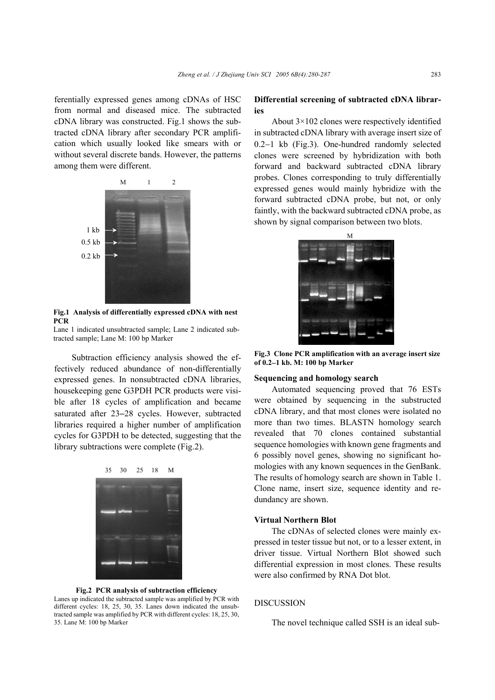ferentially expressed genes among cDNAs of HSC from normal and diseased mice. The subtracted cDNA library was constructed. Fig.1 shows the subtracted cDNA library after secondary PCR amplification which usually looked like smears with or without several discrete bands. However, the patterns among them were different.



**Fig.1 Analysis of differentially expressed cDNA with nest PCR**

Lane 1 indicated unsubtracted sample; Lane 2 indicated subtracted sample; Lane M: 100 bp Marker

Subtraction efficiency analysis showed the effectively reduced abundance of non-differentially expressed genes. In nonsubtracted cDNA libraries, housekeeping gene G3PDH PCR products were visible after 18 cycles of amplification and became saturated after 23−28 cycles. However, subtracted libraries required a higher number of amplification cycles for G3PDH to be detected, suggesting that the library subtractions were complete (Fig.2).



**Fig.2****PCR analysis of subtraction efficiency**  Lanes up indicated the subtracted sample was amplified by PCR with different cycles: 18, 25, 30, 35. Lanes down indicated the unsubtracted sample was amplified by PCR with different cycles: 18, 25, 30, 35. Lane M: 100 bp Marker

## **Differential screening of subtracted cDNA libraries**

About 3×102 clones were respectively identified in subtracted cDNA library with average insert size of 0.2−1 kb (Fig.3). One-hundred randomly selected clones were screened by hybridization with both forward and backward subtracted cDNA library probes. Clones corresponding to truly differentially expressed genes would mainly hybridize with the forward subtracted cDNA probe, but not, or only faintly, with the backward subtracted cDNA probe, as shown by signal comparison between two blots.



**Fig.3 Clone PCR amplification with an average insert size of 0.2**−**1 kb. M: 100 bp Marker**

## **Sequencing and homology search**

Automated sequencing proved that 76 ESTs were obtained by sequencing in the substructed cDNA library, and that most clones were isolated no more than two times. BLASTN homology search revealed that 70 clones contained substantial sequence homologies with known gene fragments and 6 possibly novel genes, showing no significant homologies with any known sequences in the GenBank. The results of homology search are shown in Table 1. Clone name, insert size, sequence identity and redundancy are shown.

#### **Virtual Northern Blot**

The cDNAs of selected clones were mainly expressed in tester tissue but not, or to a lesser extent, in driver tissue. Virtual Northern Blot showed such differential expression in most clones. These results were also confirmed by RNA Dot blot.

#### DISCUSSION

The novel technique called SSH is an ideal sub-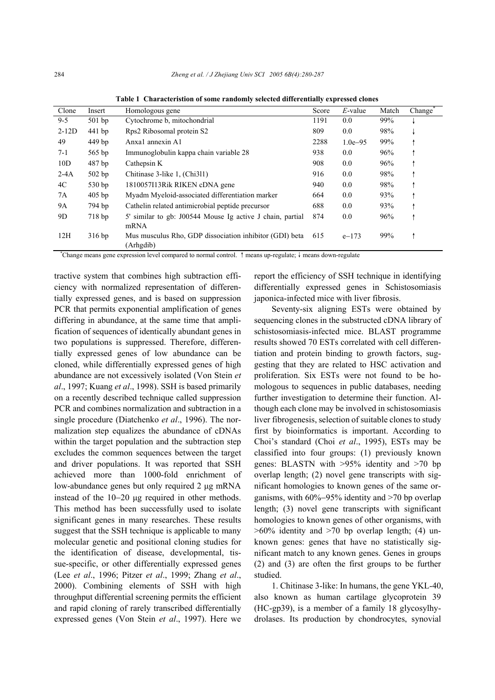| Clone     | Insert   | Homologous gene                                           | Score | $E$ -value  | Match | Change <sup>®</sup> |
|-----------|----------|-----------------------------------------------------------|-------|-------------|-------|---------------------|
| $9 - 5$   | 501 bp   | Cytochrome b, mitochondrial                               | 1191  | 0.0         | 99%   |                     |
| $2-12D$   | $441$ bp | Rps2 Ribosomal protein S2                                 | 809   | 0.0         | 98%   |                     |
| 49        | 449 bp   | Anxa1 annexin A1                                          | 2288  | $1.0e - 95$ | 99%   |                     |
| $7 - 1$   | $565$ bp | Immunoglobulin kappa chain variable 28                    | 938   | 0.0         | 96%   |                     |
| 10D       | $487$ bp | Cathepsin K                                               | 908   | 0.0         | 96%   |                     |
| $2-4A$    | $502$ bp | Chitinase 3-like 1, (Chi311)                              | 916   | 0.0         | 98%   |                     |
| 4C        | 530bp    | 1810057I13Rik RIKEN cDNA gene                             | 940   | 0.0         | 98%   |                     |
| 7A        | $405$ bp | Myadm Myeloid-associated differentiation marker           | 664   | 0.0         | 93%   |                     |
| <b>9A</b> | 794 bp   | Cathelin related antimicrobial peptide precursor          | 688   | 0.0         | 93%   |                     |
| 9D        | 718bp    | 5' similar to gb: J00544 Mouse Ig active J chain, partial | 874   | 0.0         | 96%   |                     |
|           |          | mRNA                                                      |       |             |       |                     |
| 12H       | 316bp    | Mus musculus Rho, GDP dissociation inhibitor (GDI) beta   | 615   | $e-173$     | 99%   |                     |
|           |          | (Arhgdib)                                                 |       |             |       |                     |

**Table 1 Characteristion of some randomly selected differentially expressed clones** 

\* Change means gene expression level compared to normal control. ↑means up-regulate;↓means down-regulate

tractive system that combines high subtraction efficiency with normalized representation of differentially expressed genes, and is based on suppression PCR that permits exponential amplification of genes differing in abundance, at the same time that amplification of sequences of identically abundant genes in two populations is suppressed. Therefore, differentially expressed genes of low abundance can be cloned, while differentially expressed genes of high abundance are not excessively isolated (Von Stein *et al*., 1997; Kuang *et al*., 1998). SSH is based primarily on a recently described technique called suppression PCR and combines normalization and subtraction in a single procedure (Diatchenko *et al*., 1996). The normalization step equalizes the abundance of cDNAs within the target population and the subtraction step excludes the common sequences between the target and driver populations. It was reported that SSH achieved more than 1000-fold enrichment of low-abundance genes but only required 2 µg mRNA instead of the 10−20 µg required in other methods. This method has been successfully used to isolate significant genes in many researches. These results suggest that the SSH technique is applicable to many molecular genetic and positional cloning studies for the identification of disease, developmental, tissue-specific, or other differentially expressed genes (Lee *et al*., 1996; Pitzer *et al*., 1999; Zhang *et al*., 2000). Combining elements of SSH with high throughput differential screening permits the efficient and rapid cloning of rarely transcribed differentially expressed genes (Von Stein *et al*., 1997). Here we report the efficiency of SSH technique in identifying differentially expressed genes in Schistosomiasis japonica-infected mice with liver fibrosis.

Seventy-six aligning ESTs were obtained by sequencing clones in the substructed cDNA library of schistosomiasis-infected mice. BLAST programme results showed 70 ESTs correlated with cell differentiation and protein binding to growth factors, suggesting that they are related to HSC activation and proliferation. Six ESTs were not found to be homologous to sequences in public databases, needing further investigation to determine their function. Although each clone may be involved in schistosomiasis liver fibrogenesis, selection of suitable clones to study first by bioinformatics is important. According to Choi's standard (Choi *et al*., 1995), ESTs may be classified into four groups: (1) previously known genes: BLASTN with >95% identity and >70 bp overlap length; (2) novel gene transcripts with significant homologies to known genes of the same organisms, with 60%−95% identity and >70 bp overlap length; (3) novel gene transcripts with significant homologies to known genes of other organisms, with  $>60\%$  identity and  $>70$  bp overlap length; (4) unknown genes: genes that have no statistically significant match to any known genes. Genes in groups (2) and (3) are often the first groups to be further studied.

1. Chitinase 3-like: In humans, the gene YKL-40, also known as human cartilage glycoprotein 39 (HC-gp39), is a member of a family 18 glycosylhydrolases. Its production by chondrocytes, synovial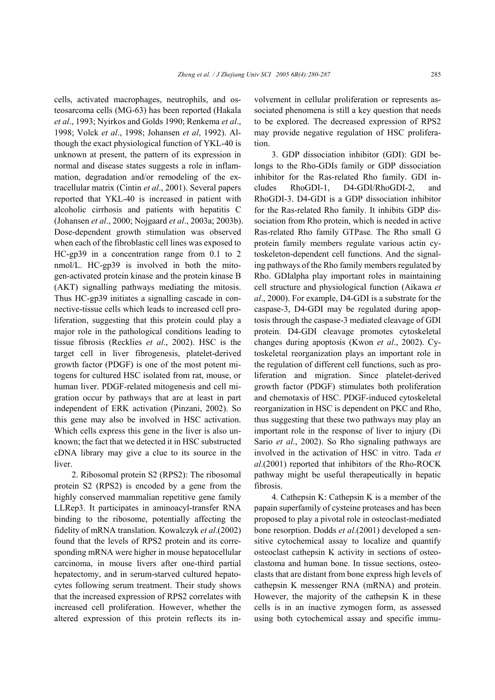cells, activated macrophages, neutrophils, and osteosarcoma cells (MG-63) has been reported (Hakala *et al*., 1993; Nyirkos and Golds 1990; Renkema *et al*., 1998; Volck *et al*., 1998; Johansen *et al*, 1992). Although the exact physiological function of YKL-40 is unknown at present, the pattern of its expression in normal and disease states suggests a role in inflammation, degradation and/or remodeling of the extracellular matrix (Cintin *et al*., 2001). Several papers reported that YKL-40 is increased in patient with alcoholic cirrhosis and patients with hepatitis C (Johansen *et al*., 2000; Nojgaard *et al*., 2003a; 2003b). Dose-dependent growth stimulation was observed when each of the fibroblastic cell lines was exposed to HC-gp39 in a concentration range from 0.1 to 2 nmol/L. HC-gp39 is involved in both the mitogen-activated protein kinase and the protein kinase B (AKT) signalling pathways mediating the mitosis. Thus HC-gp39 initiates a signalling cascade in connective-tissue cells which leads to increased cell proliferation, suggesting that this protein could play a major role in the pathological conditions leading to tissue fibrosis (Recklies *et al*., 2002). HSC is the target cell in liver fibrogenesis, platelet-derived growth factor (PDGF) is one of the most potent mitogens for cultured HSC isolated from rat, mouse, or human liver. PDGF-related mitogenesis and cell migration occur by pathways that are at least in part independent of ERK activation (Pinzani, 2002). So this gene may also be involved in HSC activation. Which cells express this gene in the liver is also unknown; the fact that we detected it in HSC substructed cDNA library may give a clue to its source in the liver.

2. Ribosomal protein S2 (RPS2): The ribosomal protein S2 (RPS2) is encoded by a gene from the highly conserved mammalian repetitive gene family LLRep3. It participates in aminoacyl-transfer RNA binding to the ribosome, potentially affecting the fidelity of mRNA translation. Kowalczyk *et al*.(2002) found that the levels of RPS2 protein and its corresponding mRNA were higher in mouse hepatocellular carcinoma, in mouse livers after one-third partial hepatectomy, and in serum-starved cultured hepatocytes following serum treatment. Their study shows that the increased expression of RPS2 correlates with increased cell proliferation. However, whether the altered expression of this protein reflects its involvement in cellular proliferation or represents associated phenomena is still a key question that needs to be explored. The decreased expression of RPS2 may provide negative regulation of HSC proliferation.

3. GDP dissociation inhibitor (GDI): GDI belongs to the Rho-GDIs family or GDP dissociation inhibitor for the Ras-related Rho family. GDI includes RhoGDI-1, D4-GDI/RhoGDI-2, and RhoGDI-3. D4-GDI is a GDP dissociation inhibitor for the Ras-related Rho family. It inhibits GDP dissociation from Rho protein, which is needed in active Ras-related Rho family GTPase. The Rho small G protein family members regulate various actin cytoskeleton-dependent cell functions. And the signaling pathways of the Rho family members regulated by Rho. GDIalpha play important roles in maintaining cell structure and physiological function (Aikawa *et al*., 2000). For example, D4-GDI is a substrate for the caspase-3, D4-GDI may be regulated during apoptosis through the caspase-3 mediated cleavage of GDI protein. D4-GDI cleavage promotes cytoskeletal changes during apoptosis (Kwon *et al*., 2002). Cytoskeletal reorganization plays an important role in the regulation of different cell functions, such as proliferation and migration. Since platelet-derived growth factor (PDGF) stimulates both proliferation and chemotaxis of HSC. PDGF-induced cytoskeletal reorganization in HSC is dependent on PKC and Rho, thus suggesting that these two pathways may play an important role in the response of liver to injury (Di Sario *et al*., 2002). So Rho signaling pathways are involved in the activation of HSC in vitro. Tada *et al*.(2001) reported that inhibitors of the Rho-ROCK pathway might be useful therapeutically in hepatic fibrosis.

4. Cathepsin K: Cathepsin K is a member of the papain superfamily of cysteine proteases and has been proposed to play a pivotal role in osteoclast-mediated bone resorption. Dodds *et al*.(2001) developed a sensitive cytochemical assay to localize and quantify osteoclast cathepsin K activity in sections of osteoclastoma and human bone. In tissue sections, osteoclasts that are distant from bone express high levels of cathepsin K messenger RNA (mRNA) and protein. However, the majority of the cathepsin K in these cells is in an inactive zymogen form, as assessed using both cytochemical assay and specific immu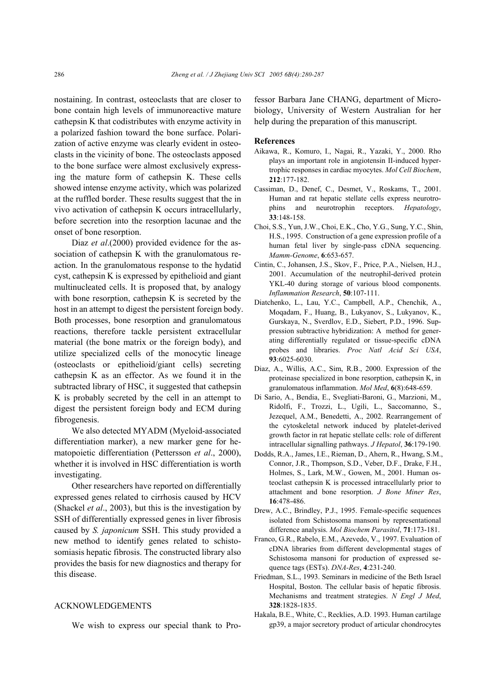nostaining. In contrast, osteoclasts that are closer to bone contain high levels of immunoreactive mature cathepsin K that codistributes with enzyme activity in a polarized fashion toward the bone surface. Polarization of active enzyme was clearly evident in osteoclasts in the vicinity of bone. The osteoclasts apposed to the bone surface were almost exclusively expressing the mature form of cathepsin K. These cells showed intense enzyme activity, which was polarized at the ruffled border. These results suggest that the in vivo activation of cathepsin K occurs intracellularly, before secretion into the resorption lacunae and the onset of bone resorption.

Diaz *et al*.(2000) provided evidence for the association of cathepsin K with the granulomatous reaction. In the granulomatous response to the hydatid cyst, cathepsin K is expressed by epithelioid and giant multinucleated cells. It is proposed that, by analogy with bone resorption, cathepsin K is secreted by the host in an attempt to digest the persistent foreign body. Both processes, bone resorption and granulomatous reactions, therefore tackle persistent extracellular material (the bone matrix or the foreign body), and utilize specialized cells of the monocytic lineage (osteoclasts or epithelioid/giant cells) secreting cathepsin K as an effector. As we found it in the subtracted library of HSC, it suggested that cathepsin K is probably secreted by the cell in an attempt to digest the persistent foreign body and ECM during fibrogenesis.

We also detected MYADM (Myeloid-associated differentiation marker), a new marker gene for hematopoietic differentiation (Pettersson *et al*., 2000), whether it is involved in HSC differentiation is worth investigating.

Other researchers have reported on differentially expressed genes related to cirrhosis caused by HCV (Shackel *et al*., 2003), but this is the investigation by SSH of differentially expressed genes in liver fibrosis caused by *S. japonicum* SSH. This study provided a new method to identify genes related to schistosomiasis hepatic fibrosis. The constructed library also provides the basis for new diagnostics and therapy for this disease.

#### ACKNOWLEDGEMENTS

We wish to express our special thank to Pro-

fessor Barbara Jane CHANG, department of Microbiology, University of Western Australian for her help during the preparation of this manuscript.

#### **References**

- Aikawa, R., Komuro, I., Nagai, R., Yazaki, Y., 2000. Rho plays an important role in angiotensin II-induced hypertrophic responses in cardiac myocytes. *Mol Cell Biochem*, **212**:177-182.
- Cassiman, D., Denef, C., Desmet, V., Roskams, T., 2001. Human and rat hepatic stellate cells express neurotrophins and neurotrophin receptors. *Hepatology*, **33**:148-158.
- Choi, S.S., Yun, J.W., Choi, E.K., Cho, Y.G., Sung, Y.C., Shin, H.S., 1995. Construction of a gene expression profile of a human fetal liver by single-pass cDNA sequencing. *Mamm-Genome*, **6**:653-657.
- Cintin, C., Johansen, J.S., Skov, F., Price, P.A., Nielsen, H.J., 2001. Accumulation of the neutrophil-derived protein YKL-40 during storage of various blood components. *Inflammation Research*, **50**:107-111.
- Diatchenko, L., Lau, Y.C., Campbell, A.P., Chenchik, A., Moqadam, F., Huang, B., Lukyanov, S., Lukyanov, K., Gurskaya, N., Sverdlov, E.D., Siebert, P.D., 1996. Suppression subtractive hybridization: A method for generating differentially regulated or tissue-specific cDNA probes and libraries. *Proc Natl Acid Sci USA*, **93**:6025-6030.
- Diaz, A., Willis, A.C., Sim, R.B., 2000. Expression of the proteinase specialized in bone resorption, cathepsin K, in granulomatous inflammation. *Mol Med*, **6**(8):648-659.
- Di Sario, A., Bendia, E., Svegliati-Baroni, G., Marzioni, M., Ridolfi, F., Trozzi, L., Ugili, L., Saccomanno, S., Jezequel, A.M., Benedetti, A., 2002. Rearrangement of the cytoskeletal network induced by platelet-derived growth factor in rat hepatic stellate cells: role of different intracellular signalling pathways. *J Hepatol*, **36**:179-190.
- Dodds, R.A., James, I.E., Rieman, D., Ahern, R., Hwang, S.M., Connor, J.R., Thompson, S.D., Veber, D.F., Drake, F.H., Holmes, S., Lark, M.W., Gowen, M., 2001. Human osteoclast cathepsin K is processed intracellularly prior to attachment and bone resorption. *J Bone Miner Res*, **16**:478-486.
- Drew, A.C., Brindley, P.J., 1995. Female-specific sequences isolated from Schistosoma mansoni by representational difference analysis. *Mol Biochem Parasitol*, **71**:173-181.
- Franco, G.R., Rabelo, E.M., Azevedo, V., 1997. Evaluation of cDNA libraries from different developmental stages of Schistosoma mansoni for production of expressed sequence tags (ESTs). *DNA-Res*, **4**:231-240.
- Friedman, S.L., 1993. Seminars in medicine of the Beth Israel Hospital, Boston. The cellular basis of hepatic fibrosis. Mechanisms and treatment strategies. *N Engl J Med*, **328**:1828-1835.
- Hakala, B.E., White, C., Recklies, A.D. 1993. Human cartilage gp39, a major secretory product of articular chondrocytes